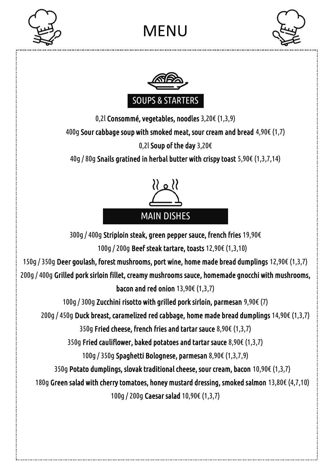

## MENU





0,2l Consommé, vegetables, noodles 3,20€ (1,3,9)

400g Sour cabbage soup with smoked meat, sour cream and bread 4,90€ (1,7)

0,2l Soup of the day 3,20€

40g / 80g Snails gratined in herbal butter with crispy toast 5,90€ (1,3,7,14)



300g / 400g Striploin steak, green pepper sauce, french fries 19,90€ 100g / 200g Beef steak tartare, toasts 12,90€ (1,3,10) 150g / 350g Deer goulash, forest mushrooms, port wine, home made bread dumplings 12,90€ (1,3,7) 200g / 400g Grilled pork sirloin fillet, creamy mushrooms sauce, homemade gnocchi with mushrooms, bacon and red onion 13,90€ (1,3,7) 100g / 300g Zucchini risotto with grilled pork sirloin, parmesan 9,90€ (7) 200g / 450g Duck breast, caramelized red cabbage, home made bread dumplings 14,90€ (1,3,7) 350g Fried cheese, french fries and tartar sauce 8,90€ (1,3,7) 350g Fried cauliflower, baked potatoes and tartar sauce 8,90€ (1,3,7) 100g / 350g Spaghetti Bolognese, parmesan 8,90€ (1,3,7,9) 350g Potato dumplings, slovak traditional cheese, sour cream, bacon 10,90€ (1,3,7) 180g Green salad with cherry tomatoes, honey mustard dressing, smoked salmon 13,80€ (4,7,10) 100g / 200g Caesar salad 10,90€ (1,3,7)